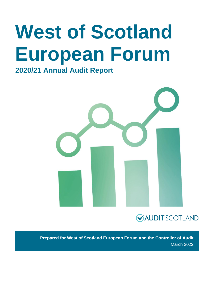# **West of Scotland European Forum**

### **2020/21 Annual Audit Report**



### **GAUDITSCOTLAND**

**Prepared for West of Scotland European Forum and the Controller of Audit** March 2022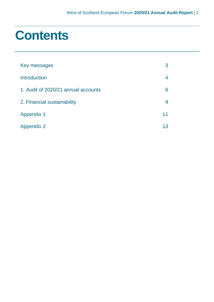### **Contents**

| Key messages                        | 3  |
|-------------------------------------|----|
| <b>Introduction</b>                 | 4  |
| 1. Audit of 2020/21 annual accounts | 6  |
| 2. Financial sustainability         | 9  |
| <b>Appendix 1</b>                   | 11 |
| <b>Appendix 2</b>                   | 13 |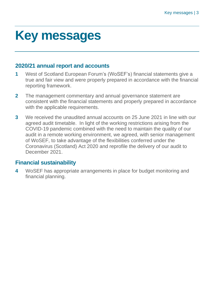### <span id="page-2-0"></span>**Key messages**

#### **2020/21 annual report and accounts**

- **1** West of Scotland European Forum's (WoSEF's) financial statements give a true and fair view and were properly prepared in accordance with the financial reporting framework.
- **2** The management commentary and annual governance statement are consistent with the financial statements and properly prepared in accordance with the applicable requirements.
- **3** We received the unaudited annual accounts on 25 June 2021 in line with our agreed audit timetable. In light of the working restrictions arising from the COVID-19 pandemic combined with the need to maintain the quality of our audit in a remote working environment, we agreed, with senior management of WoSEF, to take advantage of the flexibilities conferred under the Coronavirus (Scotland) Act 2020 and reprofile the delivery of our audit to December 2021.

#### **Financial sustainability**

**4** WoSEF has appropriate arrangements in place for budget monitoring and financial planning.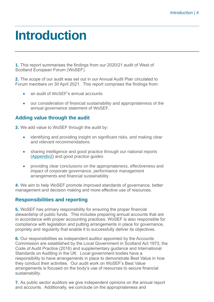### <span id="page-3-0"></span>**Introduction**

**1.** This report summarises the findings from our 2020/21 audit of West of Scotland European Forum (WoSEF).

**2.** The scope of our audit was set out in our Annual Audit Plan circulated to Forum members on 30 April 2021. This report comprises the findings from:

- an audit of WoSEF's annual accounts
- our consideration of financial sustainability and appropriateness of the annual governance statement of WoSEF.

#### **Adding value through the audit**

**3.** We add value to WoSEF through the audit by:

- identifying and providing insight on significant risks, and making clear and relevant recommendations
- sharing intelligence and good practice through our national reports [\(Appendix2\)](#page-12-0) and good practice guides
- providing clear conclusions on the appropriateness, effectiveness and impact of corporate governance, performance management arrangements and financial sustainability.

**4.** We aim to help WoSEF promote improved standards of governance, better management and decision making and more effective use of resources.

#### **Responsibilities and reporting**

**5.** WoSEF has primary responsibility for ensuring the proper financial stewardship of public funds. This includes preparing annual accounts that are in accordance with proper accounting practices. WoSEF is also responsible for compliance with legislation and putting arrangements in place for governance, propriety and regularity that enable it to successfully deliver its objectives.

**6.** Our responsibilities as independent auditor appointed by the Accounts Commission are established by the Local Government in Scotland Act 1973, the [Code of Audit Practice \(2016\)](http://www.audit-scotland.gov.uk/report/code-of-audit-practice-2016) and supplementary guidance and International Standards on Auditing in the UK. Local government bodies have a responsibility to have arrangements in place to demonstrate Best Value in how they conduct their activities. Our audit work on WoSEF's Best Value arrangements is focused on the body's use of resources to secure financial sustainability.

**7.** As public sector auditors we give independent opinions on the annual report and accounts. Additionally, we conclude on the appropriateness and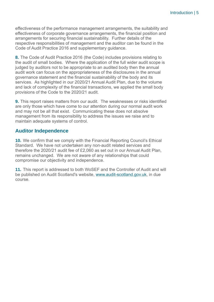effectiveness of the performance management arrangements, the suitability and effectiveness of corporate governance arrangements, the financial position and arrangements for securing financial sustainability. Further details of the respective responsibilities of management and the auditor can be found in the Code of Audit Practice 2016 and supplementary guidance.

**8.** The [Code of Audit Practice 2016](http://www.audit-scotland.gov.uk/report/code-of-audit-practice-2016) (the Code) includes provisions relating to the audit of small bodies. Where the application of the full wider audit scope is judged by auditors not to be appropriate to an audited body then the annual audit work can focus on the appropriateness of the disclosures in the annual governance statement and the financial sustainability of the body and its services. As highlighted in our 2020/21 Annual Audit Plan, due to the volume and lack of complexity of the financial transactions, we applied the small body provisions of the Code to the 2020/21 audit.

**9.** This report raises matters from our audit. The weaknesses or risks identified are only those which have come to our attention during our normal audit work and may not be all that exist. Communicating these does not absolve management from its responsibility to address the issues we raise and to maintain adequate systems of control.

#### **Auditor Independence**

**10.** We confirm that we comply with the Financial Reporting Council's Ethical Standard. We have not undertaken any non-audit related services and therefore the 2020/21 audit fee of £2,060 as set out in our Annual Audit Plan, remains unchanged. We are not aware of any relationships that could compromise our objectivity and independence.

**11.** This report is addressed to both WoSEF and the Controller of Audit and will be published on Audit Scotland's website, [www.audit-scotland.gov.uk,](http://www.audit-scotland.gov.uk/) in due course.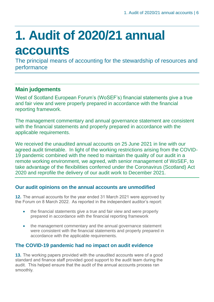## <span id="page-5-0"></span>**1. Audit of 2020/21 annual accounts**

The principal means of accounting for the stewardship of resources and performance

#### **Main judgements**

West of Scotland European Forum's (WoSEF's) financial statements give a true and fair view and were properly prepared in accordance with the financial reporting framework.

The management commentary and annual governance statement are consistent with the financial statements and properly prepared in accordance with the applicable requirements.

We received the unaudited annual accounts on 25 June 2021 in line with our agreed audit timetable. In light of the working restrictions arising from the COVID-19 pandemic combined with the need to maintain the quality of our audit in a remote working environment, we agreed, with senior management of WoSEF, to take advantage of the flexibilities conferred under the Coronavirus (Scotland) Act 2020 and reprofile the delivery of our audit work to December 2021.

#### **Our audit opinions on the annual accounts are unmodified**

**12.** The annual accounts for the year ended 31 March 2021 were approved by the Forum on 8 March 2022. As reported in the independent auditor's report:

- the financial statements give a true and fair view and were properly prepared in accordance with the financial reporting framework
- the management commentary and the annual governance statement were consistent with the financial statements and properly prepared in accordance with the applicable requirements.

#### **The COVID-19 pandemic had no impact on audit evidence**

**13.** The working papers provided with the unaudited accounts were of a good standard and finance staff provided good support to the audit team during the audit. This helped ensure that the audit of the annual accounts process ran smoothly.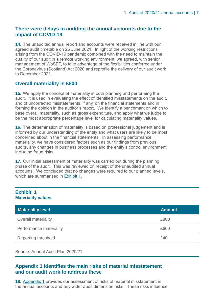#### **There were delays in auditing the annual accounts due to the impact of COVID-19**

**14.** The unaudited annual report and accounts were received in line with our agreed audit timetable on 25 June 2021. In light of the working restrictions arising from the COVID-19 pandemic combined with the need to maintain the quality of our audit in a remote working environment, we agreed, with senior management of WoSEF, to take advantage of the flexibilities conferred under the Coronavirus (Scotland) Act 2020 and reprofile the delivery of our audit work to December 2021.

#### **Overall materiality is £800**

**15.** We apply the concept of materiality in both planning and performing the audit. It is used in evaluating the effect of identified misstatements on the audit, and of uncorrected misstatements, if any, on the financial statements and in forming the opinion in the auditor's report. We identify a benchmark on which to base overall materiality, such as gross expenditure, and apply what we judge to be the most appropriate percentage level for calculating materiality values.

**16.** The determination of materiality is based on professional judgement and is informed by our understanding of the entity and what users are likely to be most concerned about in the financial statements. In assessing performance materiality, we have considered factors such as our findings from previous audits, any changes in business processes and the entity's control environment including fraud risks.

**17.** Our initial assessment of materiality was carried out during the planning phase of the audit. This was reviewed on receipt of the unaudited annual accounts. We concluded that no changes were required to our planned levels, which are summarised in [Exhibit](#page-6-0) 1.

#### <span id="page-6-0"></span>**Exhibit 1 Materiality values**

| <b>Materiality level</b>   | <b>Amount</b> |
|----------------------------|---------------|
| <b>Overall materiality</b> | £800          |
| Performance materiality    | £600          |
| <b>Reporting threshold</b> | £40           |

Source: Annual Audit Plan 2020/21

#### **Appendix 1 identifies the main risks of material misstatement and our audit work to address these**

**18.** [Appendix 1](#page-10-0) provides our assessment of risks of material misstatement in the annual accounts and any wider audit dimension risks. These risks influence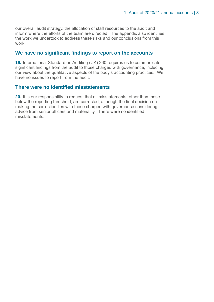our overall audit strategy, the allocation of staff resources to the audit and inform where the efforts of the team are directed. The appendix also identifies the work we undertook to address these risks and our conclusions from this work.

#### **We have no significant findings to report on the accounts**

**19.** International Standard on Auditing (UK) 260 requires us to communicate significant findings from the audit to those charged with governance, including our view about the qualitative aspects of the body's accounting practices. We have no issues to report from the audit.

#### **There were no identified misstatements**

**20.** It is our responsibility to request that all misstatements, other than those below the reporting threshold, are corrected, although the final decision on making the correction lies with those charged with governance considering advice from senior officers and materiality. There were no identified misstatements.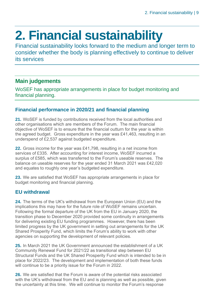## <span id="page-8-0"></span>**2. Financial sustainability**

Financial sustainability looks forward to the medium and longer term to consider whether the body is planning effectively to continue to deliver its services

#### **Main judgements**

WoSEF has appropriate arrangements in place for budget monitoring and financial planning.

#### **Financial performance in 2020/21 and financial planning**

**21.** WoSEF is funded by contributions received from the local authorities and other organisations which are members of the Forum. The main financial objective of WoSEF is to ensure that the financial outturn for the year is within the agreed budget. Gross expenditure in the year was £41,463, resulting in an underspend of £2,537 against budgeted expenditure.

**22.** Gross income for the year was £41,798, resulting in a net income from services of £335. After accounting for interest income, WoSEF incurred a surplus of £585, which was transferred to the Forum's useable reserves. The balance on useable reserves for the year ended 31 March 2021 was £42,020 and equates to roughly one year's budgeted expenditure.

**23.** We are satisfied that WoSEF has appropriate arrangements in place for budget monitoring and financial planning.

#### **EU withdrawal**

**24.** The terms of the UK's withdrawal from the European Union (EU) and the implications this may have for the future role of WoSEF remains uncertain. Following the formal departure of the UK from the EU in January 2020, the transition phase to December 2020 provided some continuity in arrangements for delivering existing EU funding programmes. However, there has been limited progress by the UK government in setting out arrangements for the UK Shared Prosperity Fund, which limits the Forum's ability to work with other agencies on supporting the development of relevant policies.

**25.** In March 2021 the UK Government announced the establishment of a UK Community Renewal Fund for 2021/22 as transitional step between EU Structural Funds and the UK Shared Prosperity Fund which is intended to be in place for 2022/23. The development and implementation of both these funds will continue to be a priority issue for the Forum in 2022.

**26.** We are satisfied that the Forum is aware of the potential risks associated with the UK's withdrawal from the EU and is planning as well as possible, given the uncertainty at this time. We will continue to monitor the Forum's response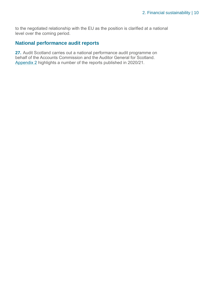to the negotiated relationship with the EU as the position is clarified at a national level over the coming period.

#### **National performance audit reports**

**27.** Audit Scotland carries out a national performance audit programme on behalf of the Accounts Commission and the Auditor General for Scotland. [Appendix 2](#page-12-0) highlights a number of the reports published in 2020/21.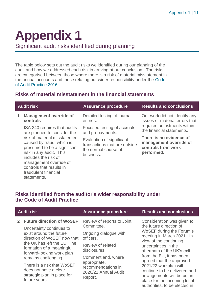## <span id="page-10-0"></span>**Appendix 1**

Significant audit risks identified during planning

The table below sets out the audit risks we identified during our planning of the audit and how we addressed each risk in arriving at our conclusion. The risks are categorised between those where there is a risk of material misstatement in the annual accounts and those relating our wider responsibility under the [Code](http://www.audit-scotland.gov.uk/report/code-of-audit-practice-2016)  of Audit [Practice 2016.](http://www.audit-scotland.gov.uk/report/code-of-audit-practice-2016)

#### **Risks of material misstatement in the financial statements**

| <b>Audit risk</b> |                                                                                                                                                                                                                                            | <b>Assurance procedure</b>                                                                      | <b>Results and conclusions</b>                                                        |
|-------------------|--------------------------------------------------------------------------------------------------------------------------------------------------------------------------------------------------------------------------------------------|-------------------------------------------------------------------------------------------------|---------------------------------------------------------------------------------------|
| 1                 | <b>Management override of</b>                                                                                                                                                                                                              | Detailed testing of journal                                                                     | Our work did not identify any                                                         |
|                   | controls                                                                                                                                                                                                                                   | entries.                                                                                        | issues or material errors that                                                        |
|                   | ISA 240 requires that audits                                                                                                                                                                                                               | Focused testing of accruals                                                                     | required adjustments within                                                           |
|                   | are planned to consider the                                                                                                                                                                                                                | and prepayments.                                                                                | the financial statements.                                                             |
|                   | risk of material misstatement<br>caused by fraud, which is<br>presumed to be a significant<br>risk in any audit. This<br>includes the risk of<br>management override of<br>controls that results in<br>fraudulent financial<br>statements. | Evaluation of significant<br>transactions that are outside<br>the normal course of<br>business. | There is no evidence of<br>management override of<br>controls from work<br>performed. |

#### **Risks identified from the auditor's wider responsibility under the Code of Audit Practice**

| <b>Audit risk</b>                                                                                                                                                                                                                       | <b>Assurance procedure</b>                                                                                                                                | <b>Results and conclusions</b>                                                                                                                                                                                                                         |
|-----------------------------------------------------------------------------------------------------------------------------------------------------------------------------------------------------------------------------------------|-----------------------------------------------------------------------------------------------------------------------------------------------------------|--------------------------------------------------------------------------------------------------------------------------------------------------------------------------------------------------------------------------------------------------------|
| <b>Future direction of WoSEF</b><br>Uncertainty continues to<br>exist around the future<br>direction of WoSEF now that<br>the UK has left the EU. The<br>formation of a meaningful<br>forward-looking work plan<br>remains challenging. | Review of reports to Joint<br>Committee.<br>Ongoing dialogue with<br>officers.<br>Review of related<br>disclosures.<br>Comment and, where<br>appropriate, | Consideration was given to<br>the future direction of<br>WoSEF during the Forum's<br>meeting in March 2021. In<br>view of the continuing<br>uncertainties in the<br>aftermath of the UK's exit<br>from the EU, it has been<br>agreed that the approved |
| There is a risk that WoSEF<br>does not have a clear<br>strategic plan in place for<br>future years.                                                                                                                                     | recommendations in<br>2020/21 Annual Audit<br>Report.                                                                                                     | 2021/22 workplan will<br>continue to be delivered and<br>arrangements will be put in<br>place for the incoming local<br>authorities, to be elected in                                                                                                  |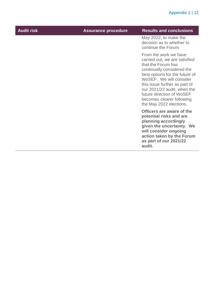| <b>Audit risk</b> | <b>Assurance procedure</b> | <b>Results and conclusions</b>                                                                                                                                                                                                                                                                                               |
|-------------------|----------------------------|------------------------------------------------------------------------------------------------------------------------------------------------------------------------------------------------------------------------------------------------------------------------------------------------------------------------------|
|                   |                            | May 2022, to make the<br>decision as to whether to<br>continue the Forum.                                                                                                                                                                                                                                                    |
|                   |                            | From the work we have<br>carried out, we are satisfied<br>that the Forum has<br>continually considered the<br>best options for the future of<br>WoSEF. We will consider<br>this issue further as part of<br>our 2021/22 audit, when the<br>future direction of WoSEF<br>becomes clearer following<br>the May 2022 elections. |
|                   |                            | Officers are aware of the<br>potential risks and are<br>planning accordingly<br>given the uncertainty. We<br>will consider ongoing<br>action taken by the Forum<br>as part of our 2021/22<br>audit.                                                                                                                          |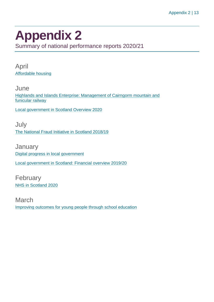### <span id="page-12-0"></span>**Appendix 2**

Summary of national performance reports 2020/21

April [Affordable housing](https://www.audit-scotland.gov.uk/report/affordable-housing)

**June** [Highlands and Islands Enterprise: Management of Cairngorm mountain and](https://www.audit-scotland.gov.uk/report/highlands-and-islands-enterprise-management-of-cairngorm-mountain-and-funicular-railway)  [funicular railway](https://www.audit-scotland.gov.uk/report/highlands-and-islands-enterprise-management-of-cairngorm-mountain-and-funicular-railway)

[Local government in Scotland Overview 2020](https://www.audit-scotland.gov.uk/report/local-government-in-scotland-overview-2020)

July [The National Fraud Initiative in Scotland 2018/19](https://www.audit-scotland.gov.uk/report/the-national-fraud-initiative-in-scotland-201819)

**January** [Digital progress in local government](https://www.audit-scotland.gov.uk/report/digital-progress-in-local-government) [Local government in Scotland: Financial overview 2019/20](https://www.audit-scotland.gov.uk/report/local-government-in-scotland-financial-overview-201920)

February [NHS in Scotland 2020](https://www.audit-scotland.gov.uk/report/nhs-in-scotland-2020)

March [Improving outcomes for young people through school education](https://www.audit-scotland.gov.uk/report/improving-outcomes-for-young-people-through-school-education)